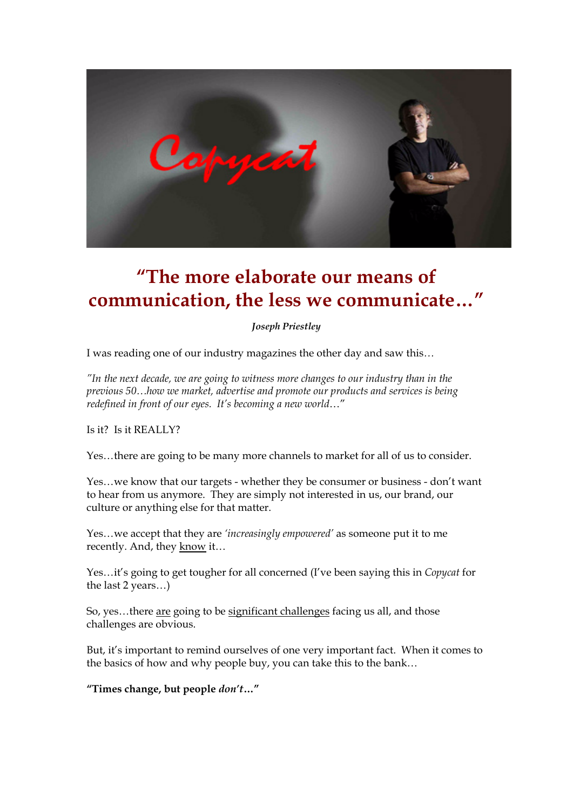

# **"The more elaborate our means of communication, the less we communicate…"**

*Joseph Priestley*

I was reading one of our industry magazines the other day and saw this*…*

*"In the next decade, we are going to witness more changes to our industry than in the previous 50…how we market, advertise and promote our products and services is being redefined in front of our eyes. It's becoming a new world*…"

Is it? Is it REALLY?

Yes…there are going to be many more channels to market for all of us to consider.

Yes…we know that our targets - whether they be consumer or business - don't want to hear from us anymore. They are simply not interested in us, our brand, our culture or anything else for that matter.

Yes…we accept that they are *'increasingly empowered'* as someone put it to me recently. And, they know it…

Yes…it's going to get tougher for all concerned (I've been saying this in *Copycat* for the last 2 years…)

So, yes…there are going to be significant challenges facing us all, and those challenges are obvious.

But, it's important to remind ourselves of one very important fact. When it comes to the basics of how and why people buy, you can take this to the bank…

**"Times change, but people** *don't***…"**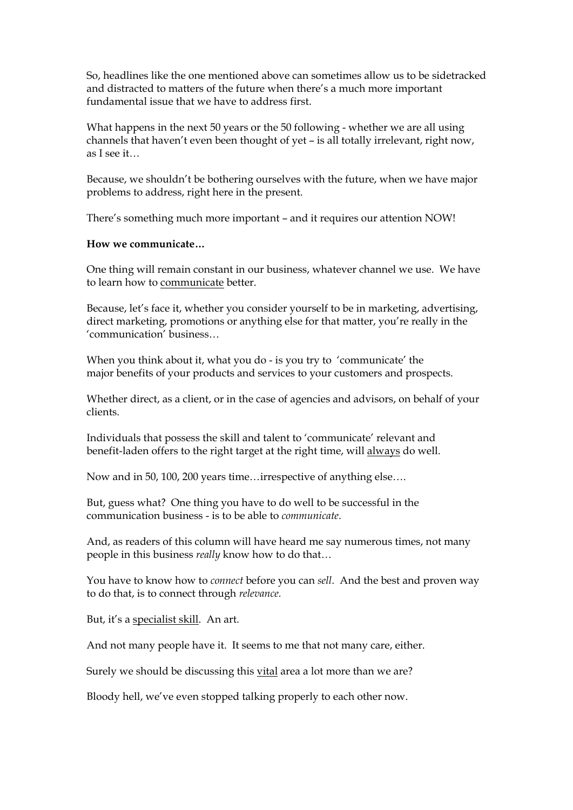So, headlines like the one mentioned above can sometimes allow us to be sidetracked and distracted to matters of the future when there's a much more important fundamental issue that we have to address first.

What happens in the next 50 years or the 50 following - whether we are all using channels that haven't even been thought of yet – is all totally irrelevant, right now, as I see it…

Because, we shouldn't be bothering ourselves with the future, when we have major problems to address, right here in the present.

There's something much more important – and it requires our attention NOW!

#### **How we communicate…**

One thing will remain constant in our business, whatever channel we use. We have to learn how to communicate better.

Because, let's face it, whether you consider yourself to be in marketing, advertising, direct marketing, promotions or anything else for that matter, you're really in the 'communication' business…

When you think about it, what you do - is you try to 'communicate' the major benefits of your products and services to your customers and prospects.

Whether direct, as a client, or in the case of agencies and advisors, on behalf of your clients.

Individuals that possess the skill and talent to 'communicate' relevant and benefit-laden offers to the right target at the right time, will always do well.

Now and in 50, 100, 200 years time…irrespective of anything else….

But, guess what? One thing you have to do well to be successful in the communication business - is to be able to *communicate*.

And, as readers of this column will have heard me say numerous times, not many people in this business *really* know how to do that…

You have to know how to *connect* before you can *sell*. And the best and proven way to do that, is to connect through *relevance.*

But, it's a specialist skill. An art.

And not many people have it. It seems to me that not many care, either.

Surely we should be discussing this vital area a lot more than we are?

Bloody hell, we've even stopped talking properly to each other now.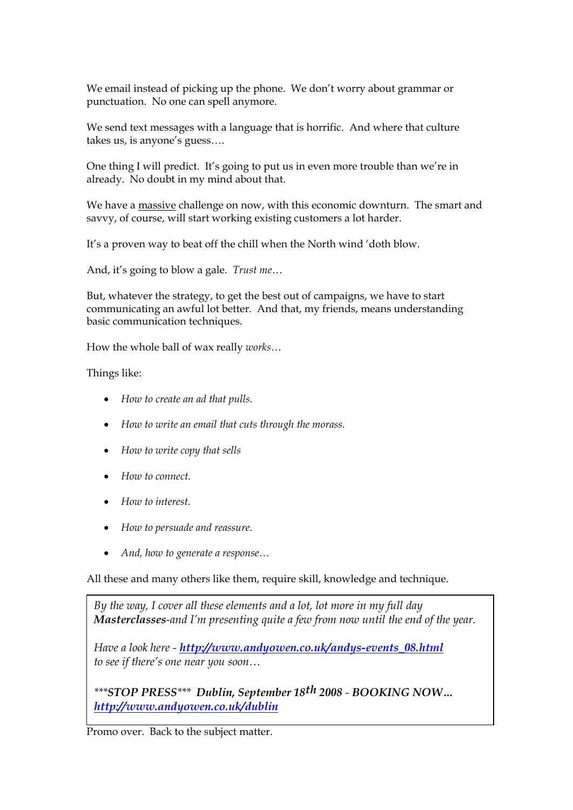We email instead of picking up the phone. We don't worry about grammar or punctuation. No one can spell anymore.

We send text messages with a language that is horrific. And where that culture takes us, is anyone's guess….

One thing I will predict. It's going to put us in even more trouble than we're in already. No doubt in my mind about that.

We have a massive challenge on now, with this economic downturn. The smart and savvy, of course, will start working existing customers a lot harder.

It's a proven way to beat off the chill when the North wind 'doth blow.

And, it's going to blow a gale. *Trust me*…

But, whatever the strategy, to get the best out of campaigns, we have to start communicating an awful lot better. And that, my friends, means understanding basic communication techniques.

How the whole ball of wax really *works…*

Things like:

- · *How to create an ad that pulls.*
- · *How to write an email that cuts through the morass.*
- · *How to write copy that sells*
- · *How to connect.*
- · *How to interest.*
- · *How to persuade and reassure*.
- · *And, how to generate a response…*

All these and many others like them, require skill, knowledge and technique.

*By the way, I cover all these elements and a lot, lot more in my full day Masterclasses-and I'm presenting quite a few from now until the end of the year.* 

*Have a look here - [http://www.andyowen.co.uk/andys-events\\_08.html](http://www.andyowen.co.uk/andys-events_08.html) to see if there's one near you soon…*

*\*\*\*STOP PRESS\*\*\* Dublin, September 18th 2008 - BOOKING NOW… <http://www.andyowen.co.uk/dublin>*

Promo over. Back to the subject matter.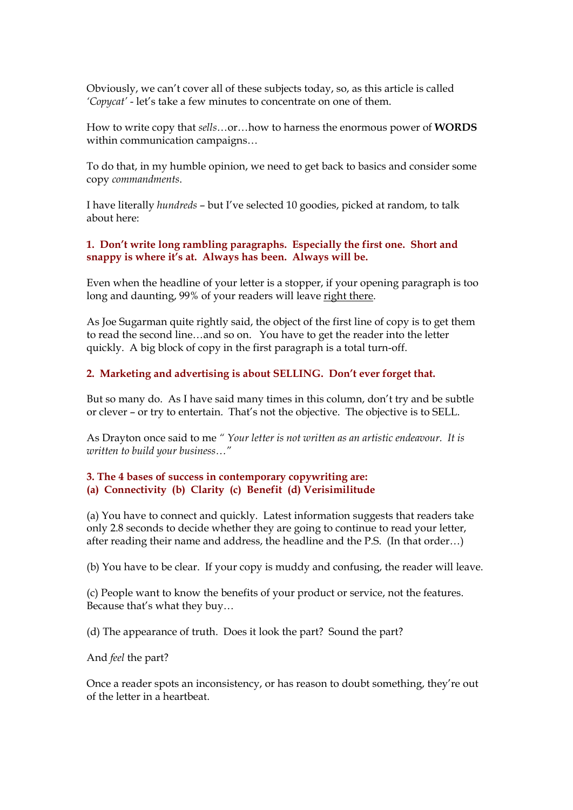Obviously, we can't cover all of these subjects today, so, as this article is called *'Copycat'* - let's take a few minutes to concentrate on one of them.

How to write copy that *sells*…or…how to harness the enormous power of **WORDS** within communication campaigns…

To do that, in my humble opinion, we need to get back to basics and consider some copy *commandments*.

I have literally *hundreds* – but I've selected 10 goodies, picked at random, to talk about here:

## **1. Don't write long rambling paragraphs. Especially the first one. Short and snappy is where it's at. Always has been. Always will be.**

Even when the headline of your letter is a stopper, if your opening paragraph is too long and daunting, 99% of your readers will leave right there.

As Joe Sugarman quite rightly said, the object of the first line of copy is to get them to read the second line…and so on. You have to get the reader into the letter quickly. A big block of copy in the first paragraph is a total turn-off.

## **2. Marketing and advertising is about SELLING. Don't ever forget that.**

But so many do. As I have said many times in this column, don't try and be subtle or clever – or try to entertain. That's not the objective. The objective is to SELL.

As Drayton once said to me *" Your letter is not written as an artistic endeavour. It is written to build your business…"*

## **3. The 4 bases of success in contemporary copywriting are: (a) Connectivity (b) Clarity (c) Benefit (d) Verisimilitude**

(a) You have to connect and quickly. Latest information suggests that readers take only 2.8 seconds to decide whether they are going to continue to read your letter, after reading their name and address, the headline and the P.S. (In that order…)

(b) You have to be clear. If your copy is muddy and confusing, the reader will leave.

(c) People want to know the benefits of your product or service, not the features. Because that's what they buy…

(d) The appearance of truth. Does it look the part? Sound the part?

And *feel* the part?

Once a reader spots an inconsistency, or has reason to doubt something, they're out of the letter in a heartbeat.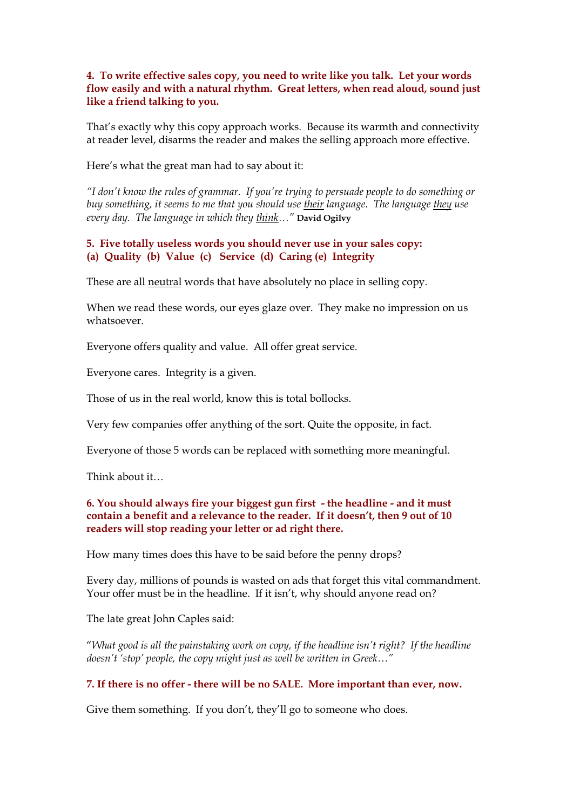## **4. To write effective sales copy, you need to write like you talk. Let your words flow easily and with a natural rhythm. Great letters, when read aloud, sound just like a friend talking to you.**

That's exactly why this copy approach works. Because its warmth and connectivity at reader level, disarms the reader and makes the selling approach more effective.

Here's what the great man had to say about it:

*"I don't know the rules of grammar. If you're trying to persuade people to do something or buy something, it seems to me that you should use their language. The language they use every day. The language in which they think…"* **David Ogilvy**

## **5. Five totally useless words you should never use in your sales copy: (a) Quality (b) Value (c) Service (d) Caring (e) Integrity**

These are all neutral words that have absolutely no place in selling copy.

When we read these words, our eyes glaze over. They make no impression on us whatsoever.

Everyone offers quality and value. All offer great service.

Everyone cares. Integrity is a given.

Those of us in the real world, know this is total bollocks.

Very few companies offer anything of the sort. Quite the opposite, in fact.

Everyone of those 5 words can be replaced with something more meaningful.

Think about it…

## **6. You should always fire your biggest gun first - the headline - and it must contain a benefit and a relevance to the reader. If it doesn't, then 9 out of 10 readers will stop reading your letter or ad right there.**

How many times does this have to be said before the penny drops?

Every day, millions of pounds is wasted on ads that forget this vital commandment. Your offer must be in the headline. If it isn't, why should anyone read on?

The late great John Caples said:

"*What good is all the painstaking work on copy, if the headline isn't right? If the headline doesn't 'stop' people, the copy might just as well be written in Greek…"*

## **7. If there is no offer - there will be no SALE. More important than ever, now.**

Give them something. If you don't, they'll go to someone who does.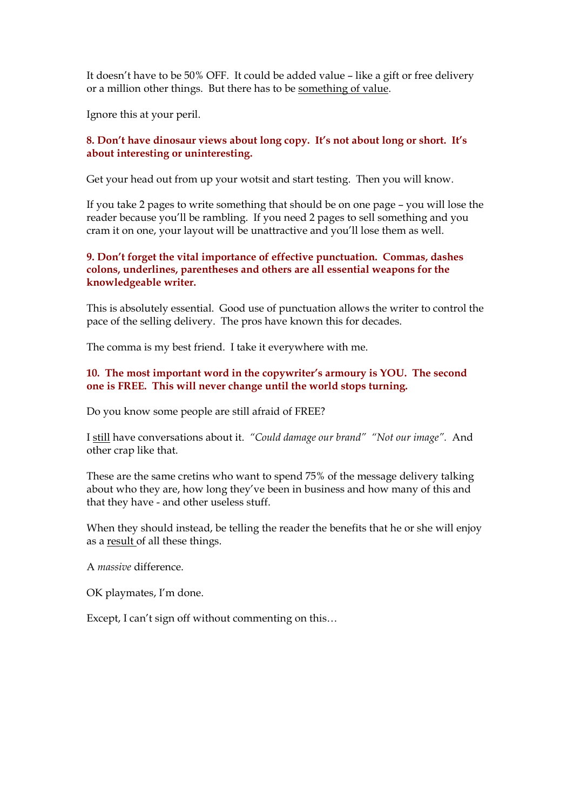It doesn't have to be 50% OFF. It could be added value – like a gift or free delivery or a million other things. But there has to be something of value.

Ignore this at your peril.

#### **8. Don't have dinosaur views about long copy. It's not about long or short. It's about interesting or uninteresting.**

Get your head out from up your wotsit and start testing. Then you will know.

If you take 2 pages to write something that should be on one page – you will lose the reader because you'll be rambling. If you need 2 pages to sell something and you cram it on one, your layout will be unattractive and you'll lose them as well.

### **9. Don't forget the vital importance of effective punctuation. Commas, dashes colons, underlines, parentheses and others are all essential weapons for the knowledgeable writer.**

This is absolutely essential. Good use of punctuation allows the writer to control the pace of the selling delivery. The pros have known this for decades.

The comma is my best friend. I take it everywhere with me.

### **10. The most important word in the copywriter's armoury is YOU. The second one is FREE. This will never change until the world stops turning.**

Do you know some people are still afraid of FREE?

I still have conversations about it. *"Could damage our brand" "Not our image".* And other crap like that.

These are the same cretins who want to spend 75% of the message delivery talking about who they are, how long they've been in business and how many of this and that they have - and other useless stuff.

When they should instead, be telling the reader the benefits that he or she will enjoy as a result of all these things.

A *massive* difference.

OK playmates, I'm done.

Except, I can't sign off without commenting on this…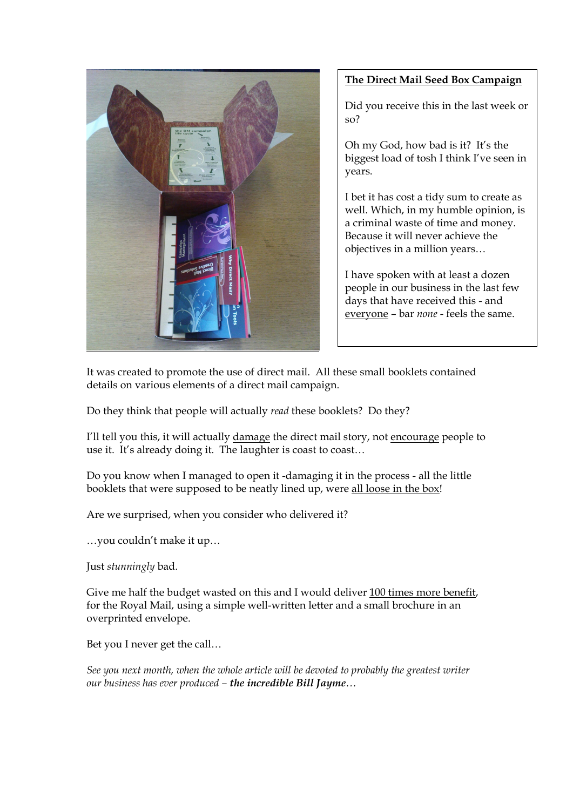

## **The Direct Mail Seed Box Campaign**

Did you receive this in the last week or so?

Oh my God, how bad is it? It's the biggest load of tosh I think I've seen in years.

I bet it has cost a tidy sum to create as well. Which, in my humble opinion, is a criminal waste of time and money. Because it will never achieve the objectives in a million years…

I have spoken with at least a dozen people in our business in the last few days that have received this - and everyone – bar *none* - feels the same.

It was created to promote the use of direct mail. All these small booklets contained details on various elements of a direct mail campaign.

Do they think that people will actually *read* these booklets? Do they?

I'll tell you this, it will actually damage the direct mail story, not encourage people to use it. It's already doing it. The laughter is coast to coast…

Do you know when I managed to open it -damaging it in the process - all the little booklets that were supposed to be neatly lined up, were all loose in the box!

Are we surprised, when you consider who delivered it?

…you couldn't make it up…

Just *stunningly* bad.

Give me half the budget wasted on this and I would deliver 100 times more benefit, for the Royal Mail, using a simple well-written letter and a small brochure in an overprinted envelope.

Bet you I never get the call…

*See you next month, when the whole article will be devoted to probably the greatest writer our business has ever produced – the incredible Bill Jayme…*